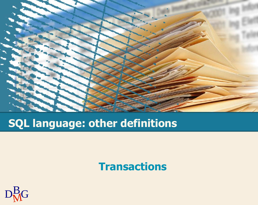

# **SQL language: other definitions**

#### **Transactions**

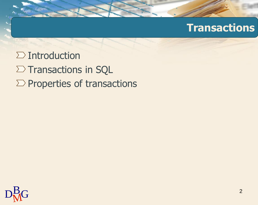$\sum$  Introduction  $\Sigma$  Transactions in SQL  $\Sigma$  Properties of transactions

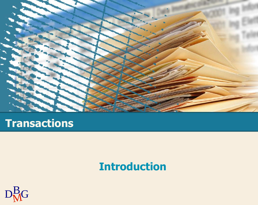

## **Introduction**

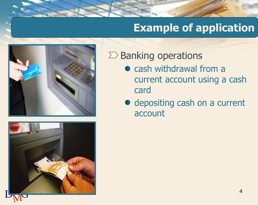# **Example of application**





#### $\Sigma$  Banking operations

- cash withdrawal from a current account using a cash card
- depositing cash on a current account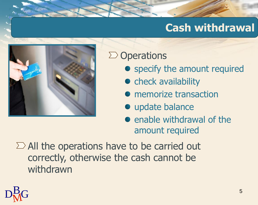# **Cash withdrawal**



### $\sum$  Operations

- specify the amount required
- check availability
- **•** memorize transaction
- **·** update balance
- enable withdrawal of the amount required

 $\Sigma$  All the operations have to be carried out correctly, otherwise the cash cannot be withdrawn

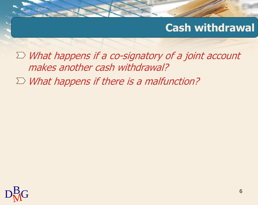### **Cash withdrawal**

 $\Sigma$  What happens if a co-signatory of a joint account makes another cash withdrawal?

 $\sum$  What happens if there is a malfunction?

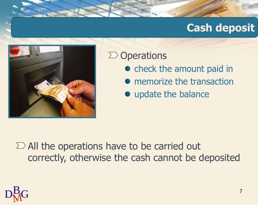## **Cash deposit**



#### $\sum$  Operations

- check the amount paid in
- memorize the transaction
- update the balance

 $\sum$  All the operations have to be carried out correctly, otherwise the cash cannot be deposited

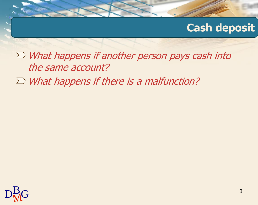### **Cash deposit**

 $\Sigma$  What happens if another person pays cash into the same account?

 $\sum$  What happens if there is a malfunction?

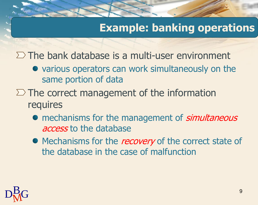# **Example: banking operations**

 $\Sigma$  The bank database is a multi-user environment

- various operators can work simultaneously on the same portion of data
- $\Sigma$  The correct management of the information requires
	- mechanisms for the management of *simultaneous* access to the database
	- Mechanisms for the *recovery* of the correct state of the database in the case of malfunction

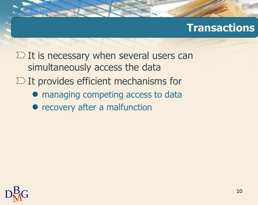$\Sigma$  It is necessary when several users can simultaneously access the data

- $\Sigma$  It provides efficient mechanisms for
	- $\bullet$  managing competing access to data
	- recovery after a malfunction

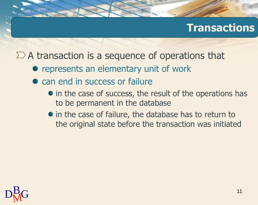$\Sigma$  A transaction is a sequence of operations that

- represents an elementary unit of work
- can end in success or failure
	- in the case of success, the result of the operations has to be permanent in the database
	- in the case of failure, the database has to return to the original state before the transaction was initiated

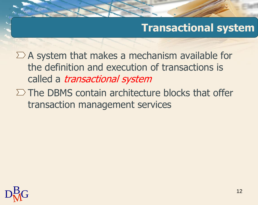### **Transactional system**

 $\Sigma$  A system that makes a mechanism available for the definition and execution of transactions is called a *transactional system* 

 $\Sigma$  The DBMS contain architecture blocks that offer transaction management services

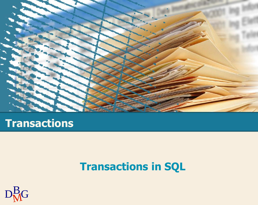

## **Transactions in SQL**

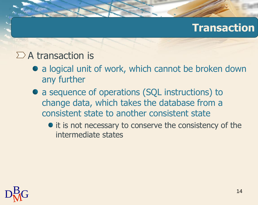#### $\Sigma$  A transaction is

- a logical unit of work, which cannot be broken down any further
- a sequence of operations (SQL instructions) to change data, which takes the database from a consistent state to another consistent state
	- it is not necessary to conserve the consistency of the intermediate states

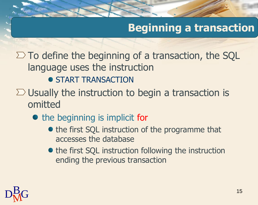# **Beginning a transaction**

 $\Sigma$  To define the beginning of a transaction, the SQL language uses the instruction

- **START TRANSACTION**
- $\Sigma$  Usually the instruction to begin a transaction is omitted
	- the beginning is implicit for
		- the first SQL instruction of the programme that accesses the database
		- the first SQL instruction following the instruction ending the previous transaction

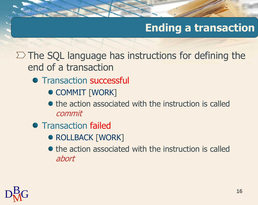# **Ending a transaction**

 $\Sigma$  The SQL language has instructions for defining the end of a transaction

- Transaction successful
	- **COMMIT [WORK]**
	- $\bullet$  the action associated with the instruction is called commit
- **Transaction failed** 
	- ROLLBACK [WORK]
	- $\bullet$  the action associated with the instruction is called abort

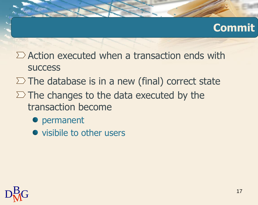# **Commit**

- $\sum$  Action executed when a transaction ends with **SUCCESS**
- $\Sigma$  The database is in a new (final) correct state
- $\Sigma$  The changes to the data executed by the transaction become
	- permanent
	- visibile to other users

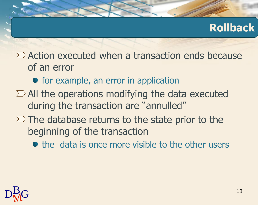# **Rollback**

 $\sum$  Action executed when a transaction ends because of an error

- for example, an error in application
- $\Sigma$  All the operations modifying the data executed during the transaction are "annulled"
- $\Sigma$  The database returns to the state prior to the beginning of the transaction
	- $\bullet$  the data is once more visible to the other users

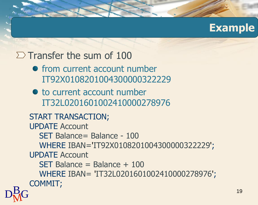#### **Example**

#### $\Sigma$  Transfer the sum of 100

- from current account number IT92X0108201004300000322229
- $\bullet$  to current account number IT32L0201601002410000278976

 $D_{\rm M}^{\rm B}$ G START TRANSACTION; UPDATE Account SET Balance= Balance - 100 WHERE IBAN='IT92X0108201004300000322229'; UPDATE Account SET Balance = Balance + 100 WHERE IBAN= 'IT32L0201601002410000278976'; COMMIT;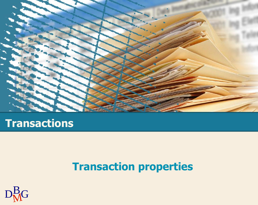

# **Transaction properties**

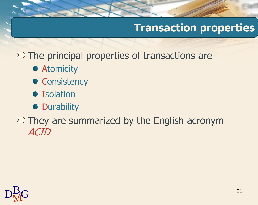# **Transaction properties**

 $\Sigma$  The principal properties of transactions are

- **Atomicity**
- Consistency
- Isolation
- Durability

 $\Sigma$  They are summarized by the English acronym ACID

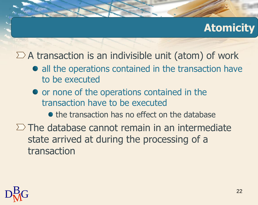# **Atomicity**

 $\Sigma$  A transaction is an indivisible unit (atom) of work

- all the operations contained in the transaction have to be executed
- or none of the operations contained in the transaction have to be executed
	- $\bullet$  the transaction has no effect on the database
- $\Sigma$  The database cannot remain in an intermediate state arrived at during the processing of a transaction

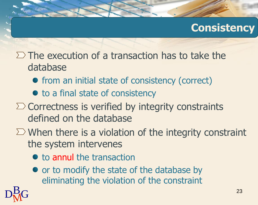### **Consistency**

- $\Sigma$  The execution of a transaction has to take the database
	- from an initial state of consistency (correct)
	- to a final state of consistency
- $\Sigma$  Correctness is verified by integrity constraints defined on the database
- $\Sigma$  When there is a violation of the integrity constraint the system intervenes
	- to annul the transaction
	- or to modify the state of the database by eliminating the violation of the constraint

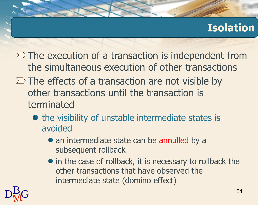## **Isolation**

- $\Sigma$  The execution of a transaction is independent from the simultaneous execution of other transactions
- $\Sigma$  The effects of a transaction are not visible by other transactions until the transaction is terminated
	- the visibility of unstable intermediate states is avoided
		- an intermediate state can be annulled by a subsequent rollback
		- in the case of rollback, it is necessary to rollback the other transactions that have observed the intermediate state (domino effect)